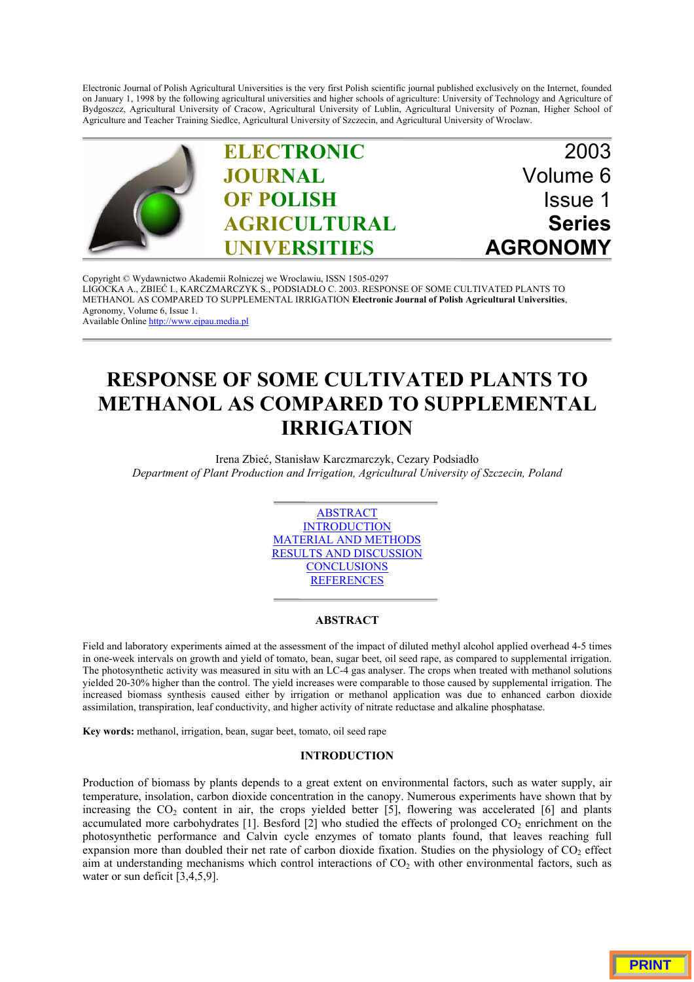Electronic Journal of Polish Agricultural Universities is the very first Polish scientific journal published exclusively on the Internet, founded on January 1, 1998 by the following agricultural universities and higher schools of agriculture: University of Technology and Agriculture of Bydgoszcz, Agricultural University of Cracow, Agricultural University of Lublin, Agricultural University of Poznan, Higher School of Agriculture and Teacher Training Siedlce, Agricultural University of Szczecin, and Agricultural University of Wroclaw.



Copyright © Wydawnictwo Akademii Rolniczej we Wroclawiu, ISSN 1505-0297 LIGOCKA A., ZBIEĆ I., KARCZMARCZYK S., PODSIADŁO C. 2003. RESPONSE OF SOME CULTIVATED PLANTS TO METHANOL AS COMPARED TO SUPPLEMENTAL IRRIGATION **Electronic Journal of Polish Agricultural Universities**, Agronomy, Volume 6, Issue 1. Available Online http://www.ejpau.media.pl

# **RESPONSE OF SOME CULTIVATED PLANTS TO METHANOL AS COMPARED TO SUPPLEMENTAL IRRIGATION**

Irena Zbieć, Stanisław Karczmarczyk, Cezary Podsiadło *Department of Plant Production and Irrigation, Agricultural University of Szczecin, Poland*



#### **ABSTRACT**

Field and laboratory experiments aimed at the assessment of the impact of diluted methyl alcohol applied overhead 4-5 times in one-week intervals on growth and yield of tomato, bean, sugar beet, oil seed rape, as compared to supplemental irrigation. The photosynthetic activity was measured in situ with an LC-4 gas analyser. The crops when treated with methanol solutions yielded 20-30% higher than the control. The yield increases were comparable to those caused by supplemental irrigation. The increased biomass synthesis caused either by irrigation or methanol application was due to enhanced carbon dioxide assimilation, transpiration, leaf conductivity, and higher activity of nitrate reductase and alkaline phosphatase.

**Key words:** methanol, irrigation, bean, sugar beet, tomato, oil seed rape

#### **INTRODUCTION**

Production of biomass by plants depends to a great extent on environmental factors, such as water supply, air temperature, insolation, carbon dioxide concentration in the canopy. Numerous experiments have shown that by increasing the  $CO<sub>2</sub>$  content in air, the crops yielded better [5], flowering was accelerated [6] and plants accumulated more carbohydrates [1]. Besford [2] who studied the effects of prolonged  $CO<sub>2</sub>$  enrichment on the photosynthetic performance and Calvin cycle enzymes of tomato plants found, that leaves reaching full expansion more than doubled their net rate of carbon dioxide fixation. Studies on the physiology of CO<sub>2</sub> effect aim at understanding mechanisms which control interactions of  $CO<sub>2</sub>$  with other environmental factors, such as water or sun deficit [3,4,5,9].

**PRINT**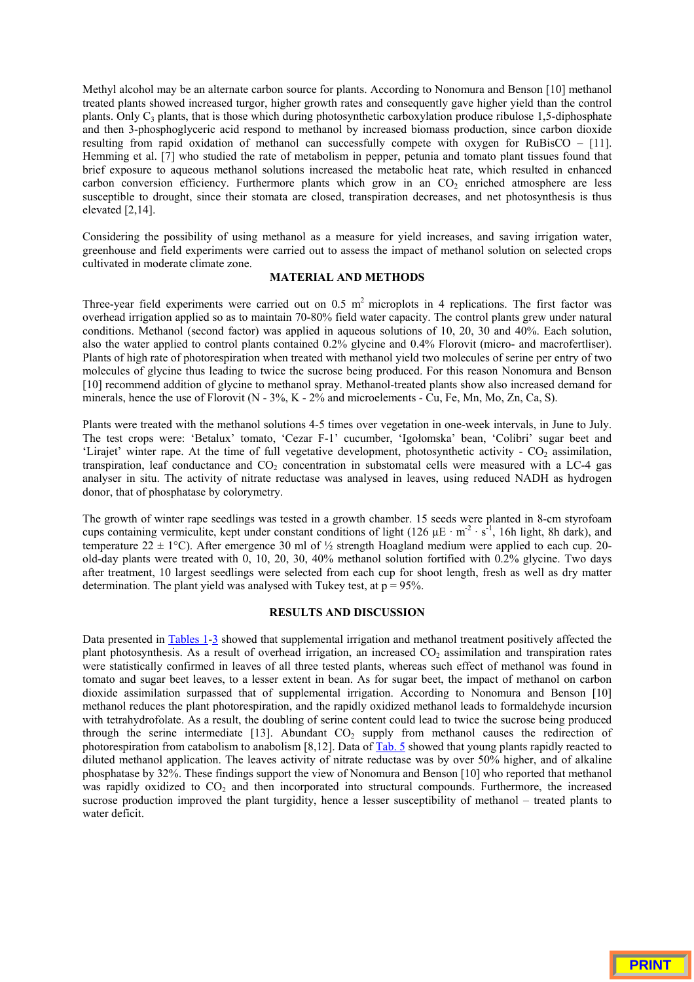Methyl alcohol may be an alternate carbon source for plants. According to Nonomura and Benson [10] methanol treated plants showed increased turgor, higher growth rates and consequently gave higher yield than the control plants. Only  $C_3$  plants, that is those which during photosynthetic carboxylation produce ribulose 1,5-diphosphate and then 3-phosphoglyceric acid respond to methanol by increased biomass production, since carbon dioxide resulting from rapid oxidation of methanol can successfully compete with oxygen for RuBisCO – [11]. Hemming et al. [7] who studied the rate of metabolism in pepper, petunia and tomato plant tissues found that brief exposure to aqueous methanol solutions increased the metabolic heat rate, which resulted in enhanced carbon conversion efficiency. Furthermore plants which grow in an  $CO<sub>2</sub>$  enriched atmosphere are less susceptible to drought, since their stomata are closed, transpiration decreases, and net photosynthesis is thus elevated [2,14].

Considering the possibility of using methanol as a measure for yield increases, and saving irrigation water, greenhouse and field experiments were carried out to assess the impact of methanol solution on selected crops cultivated in moderate climate zone.

### **MATERIAL AND METHODS**

Three-year field experiments were carried out on 0.5  $m<sup>2</sup>$  microplots in 4 replications. The first factor was overhead irrigation applied so as to maintain 70-80% field water capacity. The control plants grew under natural conditions. Methanol (second factor) was applied in aqueous solutions of 10, 20, 30 and 40%. Each solution, also the water applied to control plants contained 0.2% glycine and 0.4% Florovit (micro- and macrofertliser). Plants of high rate of photorespiration when treated with methanol yield two molecules of serine per entry of two molecules of glycine thus leading to twice the sucrose being produced. For this reason Nonomura and Benson [10] recommend addition of glycine to methanol spray. Methanol-treated plants show also increased demand for minerals, hence the use of Florovit (N - 3%, K - 2% and microelements - Cu, Fe, Mn, Mo, Zn, Ca, S).

Plants were treated with the methanol solutions 4-5 times over vegetation in one-week intervals, in June to July. The test crops were: 'Betalux' tomato, 'Cezar F-1' cucumber, 'Igołomska' bean, 'Colibri' sugar beet and 'Lirajet' winter rape. At the time of full vegetative development, photosynthetic activity -  $CO<sub>2</sub>$  assimilation, transpiration, leaf conductance and  $CO<sub>2</sub>$  concentration in substomatal cells were measured with a LC-4 gas analyser in situ. The activity of nitrate reductase was analysed in leaves, using reduced NADH as hydrogen donor, that of phosphatase by colorymetry.

The growth of winter rape seedlings was tested in a growth chamber. 15 seeds were planted in 8-cm styrofoam cups containing vermiculite, kept under constant conditions of light (126  $\mu$ E · m<sup>-2</sup> · s<sup>-1</sup>, 16h light, 8h dark), and temperature  $22 \pm 1$ °C). After emergence 30 ml of  $\frac{1}{2}$  strength Hoagland medium were applied to each cup. 20old-day plants were treated with 0, 10, 20, 30, 40% methanol solution fortified with 0.2% glycine. Two days after treatment, 10 largest seedlings were selected from each cup for shoot length, fresh as well as dry matter determination. The plant yield was analysed with Tukey test, at  $p = 95\%$ .

### **RESULTS AND DISCUSSION**

Data presented in Tables 1-3 showed that supplemental irrigation and methanol treatment positively affected the plant photosynthesis. As a result of overhead irrigation, an increased  $CO<sub>2</sub>$  assimilation and transpiration rates were statistically confirmed in leaves of all three tested plants, whereas such effect of methanol was found in tomato and sugar beet leaves, to a lesser extent in bean. As for sugar beet, the impact of methanol on carbon dioxide assimilation surpassed that of supplemental irrigation. According to Nonomura and Benson [10] methanol reduces the plant photorespiration, and the rapidly oxidized methanol leads to formaldehyde incursion with tetrahydrofolate. As a result, the doubling of serine content could lead to twice the sucrose being produced through the serine intermediate  $[13]$ . Abundant  $CO<sub>2</sub>$  supply from methanol causes the redirection of photorespiration from catabolism to anabolism  $[8,12]$ . Data of Tab. 5 showed that young plants rapidly reacted to diluted methanol application. The leaves activity of nitrate reductase was by over 50% higher, and of alkaline phosphatase by 32%. These findings support the view of Nonomura and Benson [10] who reported that methanol was rapidly oxidized to  $CO<sub>2</sub>$  and then incorporated into structural compounds. Furthermore, the increased sucrose production improved the plant turgidity, hence a lesser susceptibility of methanol – treated plants to water deficit.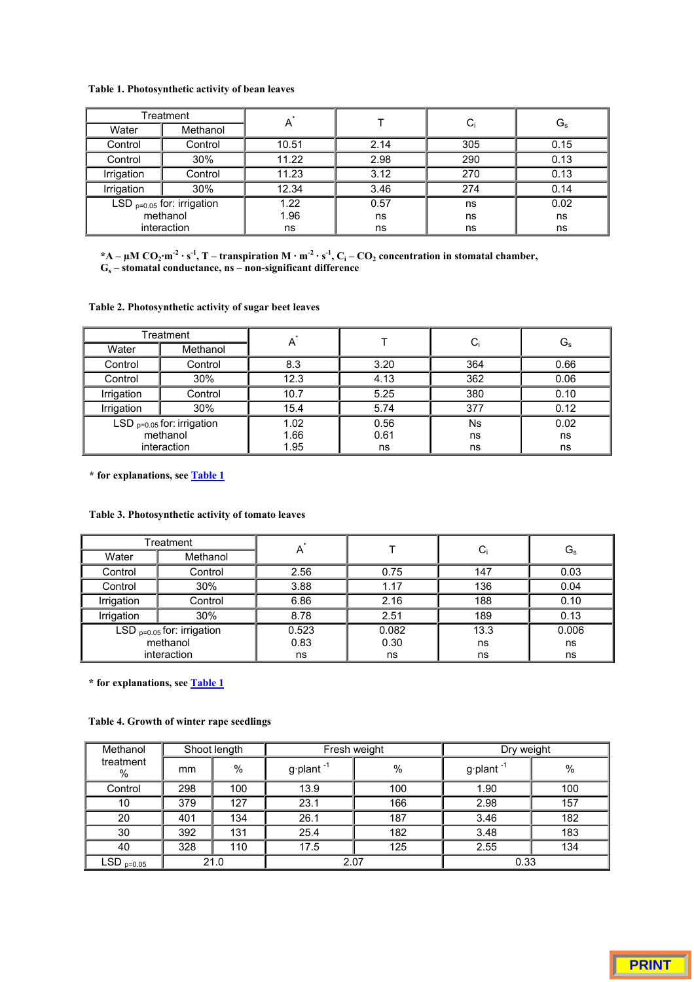### **Table 1. Photosynthetic activity of bean leaves**

| Treatment                       |             | А     |      | $C_i$ | $G_{\rm s}$ |  |
|---------------------------------|-------------|-------|------|-------|-------------|--|
| Water                           | Methanol    |       |      |       |             |  |
| Control                         | Control     | 10.51 | 2.14 | 305   | 0.15        |  |
| Control                         | 30%         | 11.22 | 2.98 | 290   | 0.13        |  |
| Irrigation                      | Control     | 11.23 | 3.12 | 270   | 0.13        |  |
| Irrigation                      | 30%         | 12.34 | 3.46 | 274   | 0.14        |  |
| LSD $_{p=0.05}$ for: irrigation |             | 1.22  | 0.57 | ns    | 0.02        |  |
| methanol                        |             | 1.96  | ns   | ns    | ns          |  |
|                                 | interaction | ns    | ns   | ns    | ns          |  |

 $A + \mu M CO_2 \cdot m^{-2} \cdot s^{-1}$ , T – transpiration M  $\cdot m^{-2} \cdot s^{-1}$ ,  $C_i - CO_2$  concentration in stomatal chamber, **Gs – stomatal conductance, ns – non-significant difference**

**Table 2. Photosynthetic activity of sugar beet leaves**

| Treatment                       |             | A    |      | $C_i$     | $G_{\rm s}$ |  |
|---------------------------------|-------------|------|------|-----------|-------------|--|
| Water                           | Methanol    |      |      |           |             |  |
| Control                         | Control     | 8.3  | 3.20 | 364       | 0.66        |  |
| Control                         | 30%         | 12.3 | 4.13 | 362       | 0.06        |  |
| Irrigation                      | Control     | 10.7 | 5.25 | 380       | 0.10        |  |
| Irrigation                      | 30%         | 15.4 | 5.74 | 377       | 0.12        |  |
| LSD $_{p=0.05}$ for: irrigation |             | 1.02 | 0.56 | <b>Ns</b> | 0.02        |  |
| methanol                        |             | 1.66 | 0.61 | ns        | ns          |  |
|                                 | interaction | 1.95 | ns   | ns        | ns          |  |

**\* for explanations, see Table 1**

### **Table 3. Photosynthetic activity of tomato leaves**

| Treatment                       |             |       |       |       |       |  |
|---------------------------------|-------------|-------|-------|-------|-------|--|
| Water                           | Methanol    | A     |       | $C_i$ | Gs    |  |
| Control                         | Control     | 2.56  | 0.75  | 147   | 0.03  |  |
| Control                         | 30%         | 3.88  | 1.17  | 136   | 0.04  |  |
| Irrigation                      | Control     | 6.86  | 2.16  | 188   | 0.10  |  |
| Irrigation                      | 30%         | 8.78  | 2.51  | 189   | 0.13  |  |
| LSD $_{p=0.05}$ for: irrigation |             | 0.523 | 0.082 | 13.3  | 0.006 |  |
| methanol                        |             | 0.83  | 0.30  | ns    | ns    |  |
|                                 | interaction | ns    | ns    | ns    | ns    |  |

**\* for explanations, see Table 1**

# **Table 4. Growth of winter rape seedlings**

| Methanol       | Shoot length |     |                          | Fresh weight | Dry weight               |      |
|----------------|--------------|-----|--------------------------|--------------|--------------------------|------|
| treatment<br>% | mm           | %   | $g$ -plant <sup>-1</sup> | $\%$         | $g$ -plant <sup>-1</sup> | $\%$ |
| Control        | 298          | 100 | 13.9                     | 100          | 1.90                     | 100  |
| 10             | 379          | 127 | 23.1                     | 166          | 2.98                     | 157  |
| 20             | 401          | 134 | 26.1                     | 187          | 3.46                     | 182  |
| 30             | 392          | 131 | 25.4                     | 182          | 3.48                     | 183  |
| 40             | 328          | 110 | 17.5                     | 125          | 2.55                     | 134  |
| $LSD_{p=0.05}$ | 21.0         |     | 2.07                     |              | 0.33                     |      |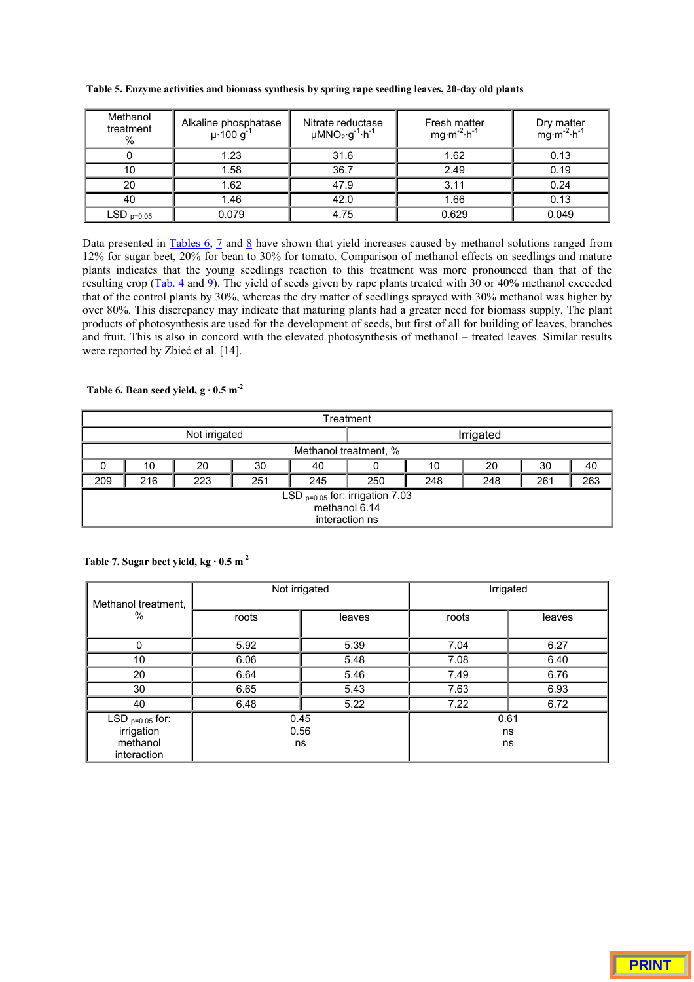| Methanol<br>treatment<br>$\%$ | Alkaline phosphatase<br>$\mu$ -100 $g^-$ | Nitrate reductase<br>$\mu$ MNO <sub>2</sub> ·g <sup>-1</sup> ·h <sup>-1</sup> | Fresh matter<br>$mg \cdot m^{-2} \cdot h^{-1}$ | Dry matter<br>mg·m <sup>-2</sup> ·h <sup>-1</sup> |
|-------------------------------|------------------------------------------|-------------------------------------------------------------------------------|------------------------------------------------|---------------------------------------------------|
|                               | 1.23                                     | 31.6                                                                          | 1.62                                           | 0.13                                              |
| 10                            | 1.58                                     | 36.7                                                                          | 2.49                                           | 0.19                                              |
| 20                            | 1.62                                     | 47.9                                                                          | 3.11                                           | 0.24                                              |
| 40                            | 1.46                                     | 42.0                                                                          | 1.66                                           | 0.13                                              |
| $LSD_{p=0.05}$                | 0.079                                    | 4.75                                                                          | 0.629                                          | 0.049                                             |

**Table 5. Enzyme activities and biomass synthesis by spring rape seedling leaves, 20-day old plants**

Data presented in  $Tables 6, 7$  and  $8$  have shown that yield increases caused by methanol solutions ranged from</u></u> 12% for sugar beet, 20% for bean to 30% for tomato. Comparison of methanol effects on seedlings and mature plants indicates that the young seedlings reaction to this treatment was more pronounced than that of the resulting crop  $(Tab. 4$  and  $\overline{9}$ ). The yield of seeds given by rape plants treated with 30 or 40% methanol exceeded that of the control plants by 30%, whereas the dry matter of seedlings sprayed with 30% methanol was higher by over 80%. This discrepancy may indicate that maturing plants had a greater need for biomass supply. The plant products of photosynthesis are used for the development of seeds, but first of all for building of leaves, branches and fruit. This is also in concord with the elevated photosynthesis of methanol – treated leaves. Similar results were reported by Zbieć et al. [14].

## Table 6. Bean seed yield,  $g \cdot 0.5$  m<sup>-2</sup>

| Treatment                                                               |                       |     |     |     |                          |  |  |  |     |
|-------------------------------------------------------------------------|-----------------------|-----|-----|-----|--------------------------|--|--|--|-----|
| Not irrigated                                                           |                       |     |     |     | Irrigated                |  |  |  |     |
|                                                                         | Methanol treatment, % |     |     |     |                          |  |  |  |     |
| 0                                                                       | 10                    | 20  | 30  | 40  | 20<br>30<br>10           |  |  |  | 40  |
| 209                                                                     | 216                   | 223 | 251 | 245 | 250<br>248<br>248<br>261 |  |  |  | 263 |
| LSD $_{p=0.05}$ for: irrigation 7.03<br>methanol 6.14<br>interaction ns |                       |     |     |     |                          |  |  |  |     |
|                                                                         |                       |     |     |     |                          |  |  |  |     |

# Table 7. Sugar beet yield,  $kg \cdot 0.5$  m<sup>-2</sup>

| Methanol treatment.<br>$\%$                                   |       | Not irrigated | Irrigated        |        |  |
|---------------------------------------------------------------|-------|---------------|------------------|--------|--|
|                                                               | roots | leaves        | roots            | leaves |  |
| 0                                                             | 5.92  | 5.39          | 7.04             | 6.27   |  |
| 10                                                            | 6.06  | 5.48          | 7.08             | 6.40   |  |
| 20                                                            | 6.64  | 5.46          | 7.49             | 6.76   |  |
| 30                                                            | 6.65  | 5.43          | 7.63             | 6.93   |  |
| 40                                                            | 6.48  | 5.22          | 7.22             | 6.72   |  |
| LSD $_{p=0.05}$ for:<br>irrigation<br>methanol<br>interaction | 0.56  | 0.45<br>ns    | 0.61<br>ns<br>ns |        |  |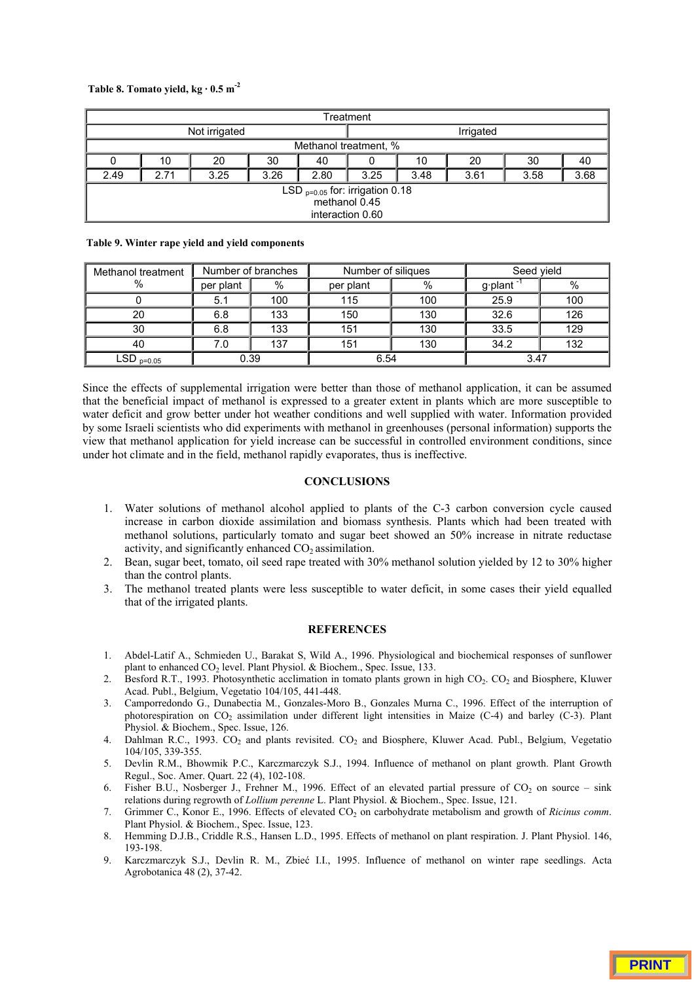**Table 8. Tomato yield, kg · 0.5 m-2**

| Treatment                                                                 |      |      |      |      |                              |  |  |  |      |
|---------------------------------------------------------------------------|------|------|------|------|------------------------------|--|--|--|------|
| Not irrigated                                                             |      |      |      |      | Irrigated                    |  |  |  |      |
| Methanol treatment, %                                                     |      |      |      |      |                              |  |  |  |      |
|                                                                           | 10   | 20   | 30   | 40   | 20<br>30<br>10<br>40         |  |  |  |      |
| 2.49                                                                      | 2.71 | 3.25 | 3.26 | 2.80 | 3.61<br>3.58<br>3.25<br>3.48 |  |  |  | 3.68 |
| LSD $_{p=0.05}$ for: irrigation 0.18<br>methanol 0.45<br>interaction 0.60 |      |      |      |      |                              |  |  |  |      |

**Table 9. Winter rape yield and yield components**

| Methanol treatment | Number of branches |      | Number of siliques |     | Seed vield |     |
|--------------------|--------------------|------|--------------------|-----|------------|-----|
| $\%$               | per plant          | $\%$ | per plant          | %   | g plant    | %   |
|                    | 5.1                | 100  | 115                | 100 | 25.9       | 100 |
| 20                 | 6.8                | 133  | 150                | 130 | 32.6       | 126 |
| 30                 | 6.8                | 133  | 151                | 130 | 33.5       | 129 |
| 40                 | 7.0                | 137  | 151                | 130 | 34.2       | 132 |
| LSD $p=0.05$       | 0.39               |      | 6.54               |     | 3.47       |     |

Since the effects of supplemental irrigation were better than those of methanol application, it can be assumed that the beneficial impact of methanol is expressed to a greater extent in plants which are more susceptible to water deficit and grow better under hot weather conditions and well supplied with water. Information provided by some Israeli scientists who did experiments with methanol in greenhouses (personal information) supports the view that methanol application for yield increase can be successful in controlled environment conditions, since under hot climate and in the field, methanol rapidly evaporates, thus is ineffective.

## **CONCLUSIONS**

- 1. Water solutions of methanol alcohol applied to plants of the C-3 carbon conversion cycle caused increase in carbon dioxide assimilation and biomass synthesis. Plants which had been treated with methanol solutions, particularly tomato and sugar beet showed an 50% increase in nitrate reductase activity, and significantly enhanced  $CO<sub>2</sub>$  assimilation.
- 2. Bean, sugar beet, tomato, oil seed rape treated with 30% methanol solution yielded by 12 to 30% higher than the control plants.
- 3. The methanol treated plants were less susceptible to water deficit, in some cases their yield equalled that of the irrigated plants.

#### **REFERENCES**

- 1. Abdel-Latif A., Schmieden U., Barakat S, Wild A., 1996. Physiological and biochemical responses of sunflower plant to enhanced  $CO<sub>2</sub>$  level. Plant Physiol. & Biochem., Spec. Issue, 133.
- 2. Besford R.T., 1993. Photosynthetic acclimation in tomato plants grown in high CO<sub>2</sub>. CO<sub>2</sub> and Biosphere, Kluwer Acad. Publ., Belgium, Vegetatio 104/105, 441-448.
- 3. Camporredondo G., Dunabectia M., Gonzales-Moro B., Gonzales Murna C., 1996. Effect of the interruption of photorespiration on  $CO<sub>2</sub>$  assimilation under different light intensities in Maize (C-4) and barley (C-3). Plant Physiol. & Biochem., Spec. Issue, 126.
- 4. Dahlman R.C., 1993. CO<sub>2</sub> and plants revisited. CO<sub>2</sub> and Biosphere, Kluwer Acad. Publ., Belgium, Vegetatio 104/105, 339-355.
- 5. Devlin R.M., Bhowmik P.C., Karczmarczyk S.J., 1994. Influence of methanol on plant growth. Plant Growth Regul., Soc. Amer. Quart. 22 (4), 102-108.
- 6. Fisher B.U., Nosberger J., Frehner M., 1996. Effect of an elevated partial pressure of  $CO<sub>2</sub>$  on source sink relations during regrowth of *Lollium perenne* L. Plant Physiol. & Biochem., Spec. Issue, 121.
- 7. Grimmer C., Konor E., 1996. Effects of elevated CO<sub>2</sub> on carbohydrate metabolism and growth of *Ricinus comm*. Plant Physiol. & Biochem., Spec. Issue, 123.
- 8. Hemming D.J.B., Criddle R.S., Hansen L.D., 1995. Effects of methanol on plant respiration. J. Plant Physiol. 146, 193-198.
- 9. Karczmarczyk S.J., Devlin R. M., Zbieć I.I., 1995. Influence of methanol on winter rape seedlings. Acta Agrobotanica 48 (2), 37-42.